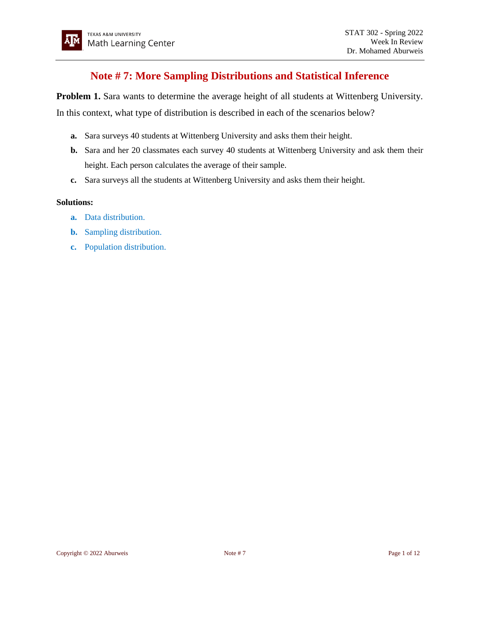# **Note # 7: More Sampling Distributions and Statistical Inference**

**Problem 1.** Sara wants to determine the average height of all students at Wittenberg University.

In this context, what type of distribution is described in each of the scenarios below?

- **a.** Sara surveys 40 students at Wittenberg University and asks them their height.
- **b.** Sara and her 20 classmates each survey 40 students at Wittenberg University and ask them their height. Each person calculates the average of their sample.
- **c.** Sara surveys all the students at Wittenberg University and asks them their height.

- **a.** Data distribution.
- **b.** Sampling distribution.
- **c.** Population distribution.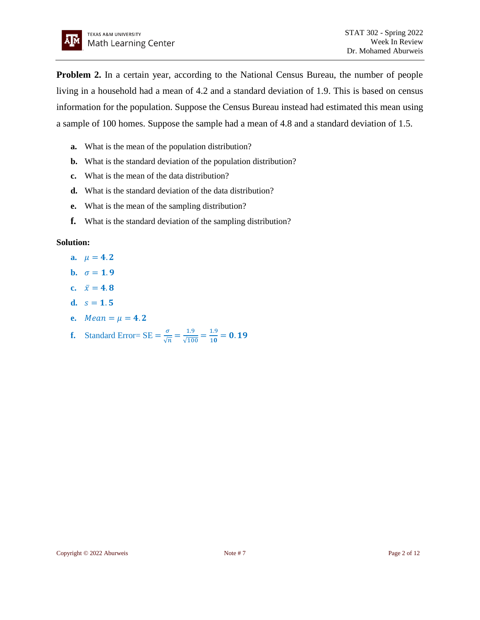

**Problem 2.** In a certain year, according to the National Census Bureau, the number of people living in a household had a mean of 4.2 and a standard deviation of 1.9. This is based on census information for the population. Suppose the Census Bureau instead had estimated this mean using a sample of 100 homes. Suppose the sample had a mean of 4.8 and a standard deviation of 1.5.

- **a.** What is the mean of the population distribution?
- **b.** What is the standard deviation of the population distribution?
- **c.** What is the mean of the data distribution?
- **d.** What is the standard deviation of the data distribution?
- **e.** What is the mean of the sampling distribution?
- **f.** What is the standard deviation of the sampling distribution?

- **a.**  $\mu = 4.2$
- **b.**  $\sigma = 1.9$
- **c.**  $\bar{x} = 4.8$
- **d.**  $s = 1.5$
- **e.**  $Mean = \mu = 4.2$
- **f.** Standard Error=  $SE = \frac{\sigma}{6}$  $\frac{\sigma}{\sqrt{n}} = \frac{1.9}{\sqrt{10}}$  $\frac{1.9}{\sqrt{100}} = \frac{1.9}{10}$  $\frac{1.9}{10}$  = 0.19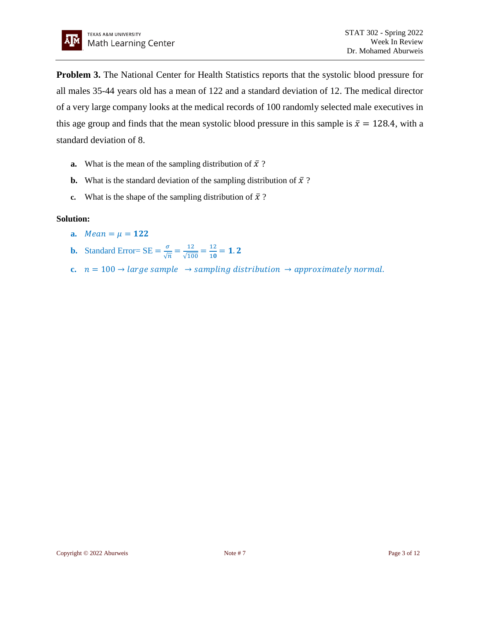**Problem 3.** The National Center for Health Statistics reports that the systolic blood pressure for all males 35-44 years old has a mean of 122 and a standard deviation of 12. The medical director of a very large company looks at the medical records of 100 randomly selected male executives in this age group and finds that the mean systolic blood pressure in this sample is  $\bar{x} = 128.4$ , with a standard deviation of 8.

- **a.** What is the mean of the sampling distribution of  $\bar{x}$ ?
- **b.** What is the standard deviation of the sampling distribution of  $\bar{x}$ ?
- **c.** What is the shape of the sampling distribution of  $\bar{x}$ ?

- **a.**  $Mean = \mu = 122$
- **b.** Standard Error=  $SE = \frac{\sigma}{6}$  $\frac{\sigma}{\sqrt{n}} = \frac{12}{\sqrt{10}}$  $\frac{12}{\sqrt{100}} = \frac{12}{10}$  $\frac{12}{10}$  = 1.2
- **c.**  $n = 100 \rightarrow large$  sample  $\rightarrow$  sampling distribution  $\rightarrow$  approximately normal.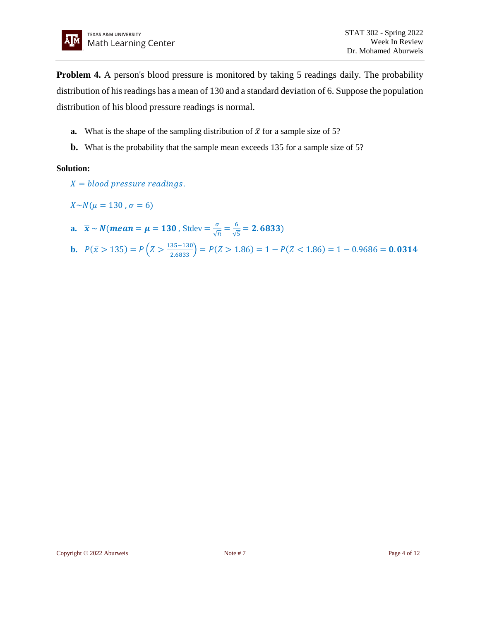**Problem 4.** A person's blood pressure is monitored by taking 5 readings daily. The probability distribution of his readings has a mean of 130 and a standard deviation of 6. Suppose the population distribution of his blood pressure readings is normal.

- **a.** What is the shape of the sampling distribution of  $\bar{x}$  for a sample size of 5?
- **b.** What is the probability that the sample mean exceeds 135 for a sample size of 5?

- $X = blood pressure readings.$
- $X \sim N(\mu = 130, \sigma = 6)$
- **a.**  $\bar{x} \sim N(\text{mean} = \mu = 130 \text{ , } \text{Stdev} = \frac{\sigma}{6}$  $\frac{\sigma}{\sqrt{n}} = \frac{6}{\sqrt{2}}$  $\frac{6}{\sqrt{5}}$  = 2.6833)
- **b.**  $P(\bar{x} > 135) = P\left(Z > \frac{135-130}{2.6833}\right) = P(Z > 1.86) = 1 P(Z < 1.86) = 1 0.9686 = 0.0314$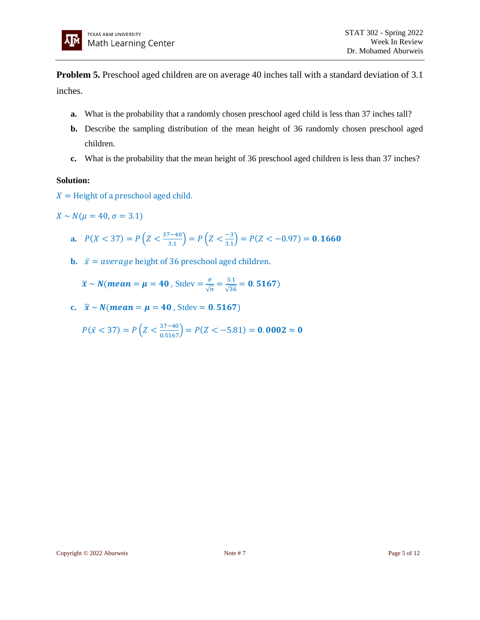

**Problem 5.** Preschool aged children are on average 40 inches tall with a standard deviation of 3.1 inches.

- **a.** What is the probability that a randomly chosen preschool aged child is less than 37 inches tall?
- **b.** Describe the sampling distribution of the mean height of 36 randomly chosen preschool aged children.
- **c.** What is the probability that the mean height of 36 preschool aged children is less than 37 inches?

# **Solution:**

 $X =$  Height of a preschool aged child.

 $X \sim N(\mu = 40, \sigma = 3.1)$ 

- **a.**  $P(X < 37) = P\left(Z < \frac{37-40}{34}\right)$  $\left(\frac{7-40}{3.1}\right) = P\left(Z < \frac{-3}{3.1}\right)$  $\binom{-3}{3.1}$  =  $P(Z < -0.97)$  = **0.1660**
- **b.**  $\bar{x} = average$  height of 36 preschool aged children.

 $\bar{x} \sim N$ (*mean* =  $\mu$  = 40, Stdev =  $\frac{\sigma}{6}$  $\frac{\sigma}{\sqrt{n}} = \frac{3.1}{\sqrt{36}}$  $\frac{3.1}{\sqrt{36}} = 0.5167$ 

**c.**  $\bar{x} \sim N$ (*mean* =  $\mu$  = 40, Stdev = 0.5167)

 $P(\bar{x} < 37) = P\left(Z < \frac{37-40}{0.5167}\right) = P(Z < -5.81) = 0.0002 \approx 0$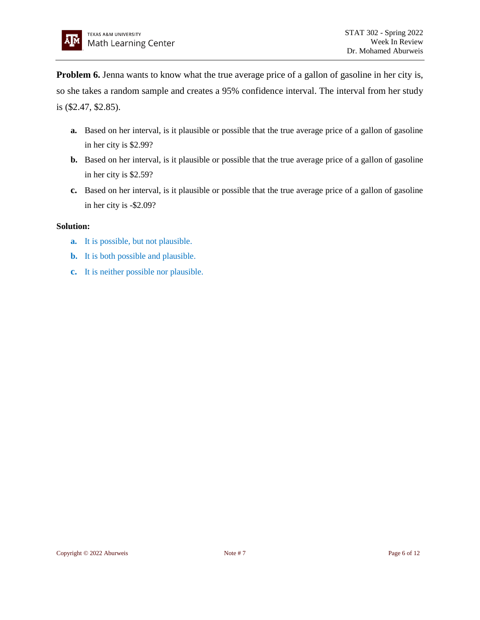**Problem 6.** Jenna wants to know what the true average price of a gallon of gasoline in her city is, so she takes a random sample and creates a 95% confidence interval. The interval from her study is (\$2.47, \$2.85).

- **a.** Based on her interval, is it plausible or possible that the true average price of a gallon of gasoline in her city is \$2.99?
- **b.** Based on her interval, is it plausible or possible that the true average price of a gallon of gasoline in her city is \$2.59?
- **c.** Based on her interval, is it plausible or possible that the true average price of a gallon of gasoline in her city is -\$2.09?

- **a.** It is possible, but not plausible.
- **b.** It is both possible and plausible.
- **c.** It is neither possible nor plausible.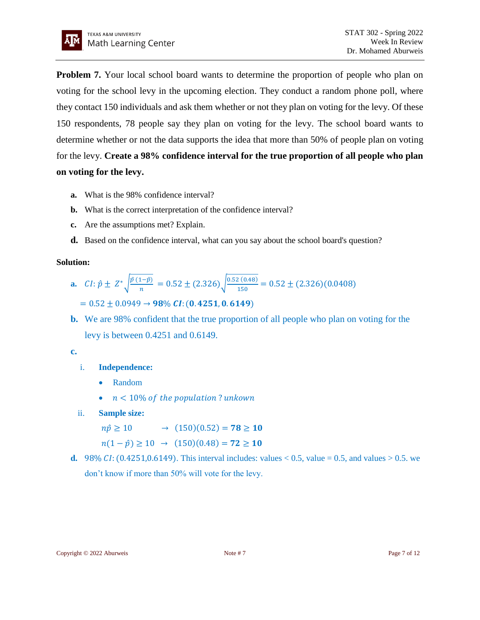

**Problem 7.** Your local school board wants to determine the proportion of people who plan on voting for the school levy in the upcoming election. They conduct a random phone poll, where they contact 150 individuals and ask them whether or not they plan on voting for the levy. Of these 150 respondents, 78 people say they plan on voting for the levy. The school board wants to determine whether or not the data supports the idea that more than 50% of people plan on voting for the levy. **Create a 98% confidence interval for the true proportion of all people who plan on voting for the levy.**

- **a.** What is the 98% confidence interval?
- **b.** What is the correct interpretation of the confidence interval?
- **c.** Are the assumptions met? Explain.
- **d.** Based on the confidence interval, what can you say about the school board's question?

#### **Solution:**

- **a.**  $CI: \hat{p} \pm Z^* \sqrt{\frac{\hat{p}(1-\hat{p})}{n}}$  $\frac{(n-1)-\hat{p}}{n}$  = 0.52 ± (2.326) $\sqrt{\frac{0.52(0.48)}{150}}$  $\frac{2(0.46)}{150}$  = 0.52 ± (2.326)(0.0408)  $= 0.52 \pm 0.0949 \rightarrow 98\% CI: (0.4251, 0.6149)$
- **b.** We are 98% confident that the true proportion of all people who plan on voting for the levy is between 0.4251 and 0.6149.

# **c.**

- i. **Independence:** 
	- Random
	- $n < 10\%$  of the population? unkown
- ii. **Sample size:**

 $n\hat{p} \ge 10$   $\rightarrow$   $(150)(0.52) = 78 \ge 10$ 

- $n(1 \hat{p}) \ge 10 \rightarrow (150)(0.48) = 72 \ge 10$
- **d.** 98% CI: (0.4251,0.6149). This interval includes: values  $< 0.5$ , value = 0.5, and values  $> 0.5$ . we don't know if more than 50% will vote for the levy.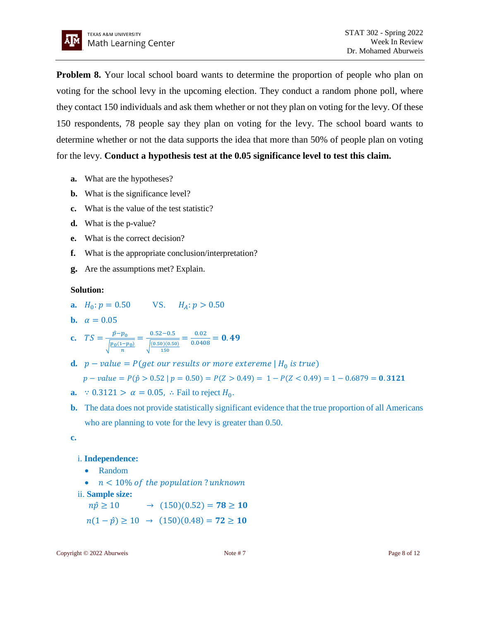

**Problem 8.** Your local school board wants to determine the proportion of people who plan on voting for the school levy in the upcoming election. They conduct a random phone poll, where they contact 150 individuals and ask them whether or not they plan on voting for the levy. Of these 150 respondents, 78 people say they plan on voting for the levy. The school board wants to determine whether or not the data supports the idea that more than 50% of people plan on voting for the levy. **Conduct a hypothesis test at the 0.05 significance level to test this claim.**

- **a.** What are the hypotheses?
- **b.** What is the significance level?
- **c.** What is the value of the test statistic?
- **d.** What is the p-value?
- **e.** What is the correct decision?
- **f.** What is the appropriate conclusion/interpretation?
- **g.** Are the assumptions met? Explain.

# **Solution:**

- **a.**  $H_0: p = 0.50$  VS.  $H_A: p > 0.50$
- **b.**  $\alpha = 0.05$

**c.** 
$$
TS = \frac{\hat{p} - p_0}{\sqrt{\frac{p_0(1 - p_0)}{n}}} = \frac{0.52 - 0.5}{\sqrt{\frac{(0.50)(0.50)}{150}}} = \frac{0.02}{0.0408} = 0.49
$$

**d.**  $p - value = P(\text{get our results or more extreme} | H_0 \text{ is true})$ 

$$
p-value = P(\hat{p} > 0.52 \mid p = 0.50) = P(Z > 0.49) = 1 - P(Z < 0.49) = 1 - 0.6879 = 0.3121
$$

- **a.** ∵ 0.3121 >  $\alpha = 0.05$ , ∴ Fail to reject  $H_0$ .
- **b.** The data does not provide statistically significant evidence that the true proportion of all Americans who are planning to vote for the levy is greater than 0.50.

**c.**

# i. **Independence:**

- Random
- $n < 10\%$  of the population? unknown
- ii. **Sample size:**

$$
n\hat{p} \ge 10 \qquad \to \quad (150)(0.52) = 78 \ge 10
$$

 $n(1 - \hat{p}) \ge 10 \rightarrow (150)(0.48) = 72 \ge 10$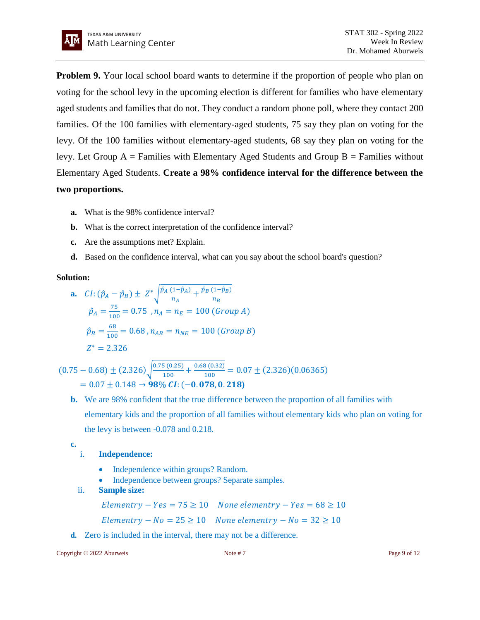

**Problem 9.** Your local school board wants to determine if the proportion of people who plan on voting for the school levy in the upcoming election is different for families who have elementary aged students and families that do not. They conduct a random phone poll, where they contact 200 families. Of the 100 families with elementary-aged students, 75 say they plan on voting for the levy. Of the 100 families without elementary-aged students, 68 say they plan on voting for the levy. Let Group  $A =$  Families with Elementary Aged Students and Group  $B =$  Families without Elementary Aged Students. **Create a 98% confidence interval for the difference between the two proportions.**

- **a.** What is the 98% confidence interval?
- **b.** What is the correct interpretation of the confidence interval?
- **c.** Are the assumptions met? Explain.
- **d.** Based on the confidence interval, what can you say about the school board's question?

#### **Solution:**

**a.** 
$$
CI: (\hat{p}_A - \hat{p}_B) \pm Z^* \sqrt{\frac{\hat{p}_A (1 - \hat{p}_A)}{n_A} + \frac{\hat{p}_B (1 - \hat{p}_B)}{n_B}}
$$
  
\n $\hat{p}_A = \frac{75}{100} = 0.75$ ,  $n_A = n_E = 100$  (Group A)  
\n $\hat{p}_B = \frac{68}{100} = 0.68$ ,  $n_{AB} = n_{NE} = 100$  (Group B)  
\n $Z^* = 2.326$ 

$$
(0.75 - 0.68) \pm (2.326) \sqrt{\frac{0.75 (0.25)}{100} + \frac{0.68 (0.32)}{100}} = 0.07 \pm (2.326)(0.06365)
$$
  
= 0.07 ± 0.148 → 98% CI: (-0.078, 0.218)

**b.** We are 98% confident that the true difference between the proportion of all families with elementary kids and the proportion of all families without elementary kids who plan on voting for the levy is between -0.078 and 0.218.

**c.**

# i. **Independence:**

- Independence within groups? Random.
- Independence between groups? Separate samples.
- ii. **Sample size:**

 $Elementry - Yes = 75 \ge 10$  None elementry  $- Yes = 68 \ge 10$  $Elementry - No = 25 \ge 10$  None elementry  $- No = 32 \ge 10$ 

**d.** Zero is included in the interval, there may not be a difference.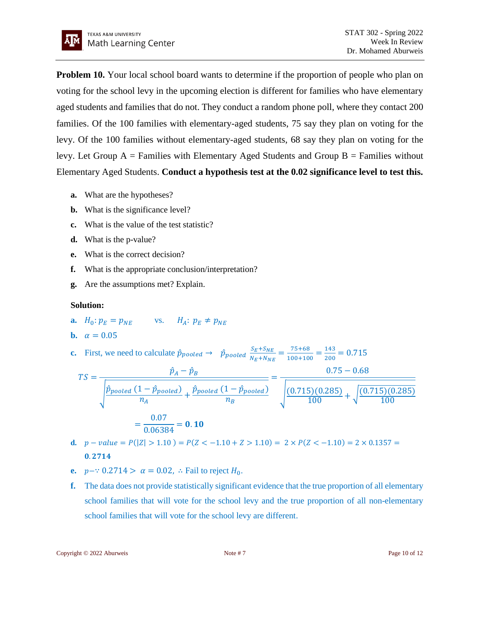

**Problem 10.** Your local school board wants to determine if the proportion of people who plan on voting for the school levy in the upcoming election is different for families who have elementary aged students and families that do not. They conduct a random phone poll, where they contact 200 families. Of the 100 families with elementary-aged students, 75 say they plan on voting for the levy. Of the 100 families without elementary-aged students, 68 say they plan on voting for the levy. Let Group  $A =$  Families with Elementary Aged Students and Group  $B =$  Families without Elementary Aged Students. **Conduct a hypothesis test at the 0.02 significance level to test this.**

- **a.** What are the hypotheses?
- **b.** What is the significance level?
- **c.** What is the value of the test statistic?
- **d.** What is the p-value?
- **e.** What is the correct decision?
- **f.** What is the appropriate conclusion/interpretation?
- **g.** Are the assumptions met? Explain.

- **a.**  $H_0: p_F = p_{NE}$  vs.  $H_A: p_F \neq p_{NE}$
- **b.**  $\alpha = 0.05$
- **c.** First, we need to calculate  $\hat{p}_{pooled} \rightarrow \hat{p}_{pooled} \frac{S_E + S_{NE}}{N_E + N_{NE}}$  $\frac{S_E + S_{NE}}{N_E + N_{NE}} = \frac{75 + 68}{100 + 10}$  $\frac{75+68}{100+100} = \frac{143}{200}$  $\frac{143}{200}$  = 0.715

$$
TS = \frac{\hat{p}_A - \hat{p}_B}{\sqrt{\frac{\hat{p}_{pooled} (1 - \hat{p}_{pooled})}{n_A} + \frac{\hat{p}_{pooled} (1 - \hat{p}_{pooled})}{n_B}}} = \frac{0.75 - 0.68}{\sqrt{\frac{(0.715)(0.285)}{100} + \sqrt{\frac{(0.715)(0.285)}{100}}} = \frac{0.75 - 0.68}{\sqrt{\frac{(0.715)(0.285)}{100} + \sqrt{\frac{(0.715)(0.285)}{100}}} = 0.10
$$

- **d.**  $p value = P(|Z| > 1.10) = P(Z < -1.10 + Z > 1.10) = 2 \times P(Z < -1.10) = 2 \times 0.1357 =$ 0.2714
- **e.**  $p \cdots 0.2714 > \alpha = 0.02$ , ∴ Fail to reject  $H_0$ .
- **f.** The data does not provide statistically significant evidence that the true proportion of all elementary school families that will vote for the school levy and the true proportion of all non-elementary school families that will vote for the school levy are different.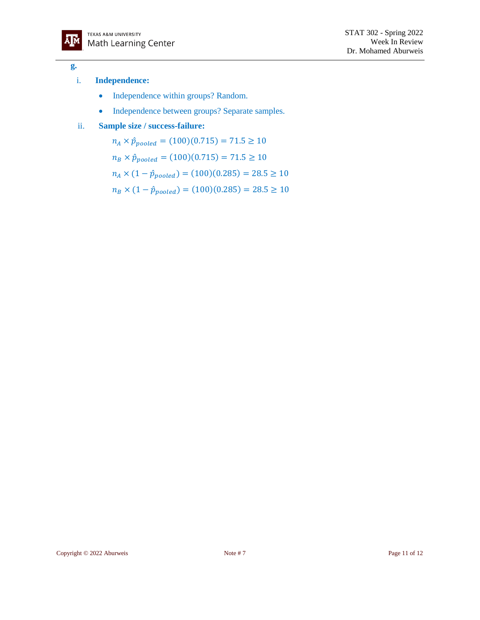

#### **g.**

#### i. **Independence:**

- Independence within groups? Random.
- Independence between groups? Separate samples.

# ii. **Sample size / success-failure:**

 $n_A \times \hat{p}_{pooled} = (100)(0.715) = 71.5 \ge 10$  $n_B \times \hat{p}_{pooled} = (100)(0.715) = 71.5 \ge 10$  $n_A \times (1 - \hat{p}_{pooled}) = (100)(0.285) = 28.5 \ge 10$  $n_B \times (1 - \hat{p}_{pooled}) = (100)(0.285) = 28.5 \ge 10$